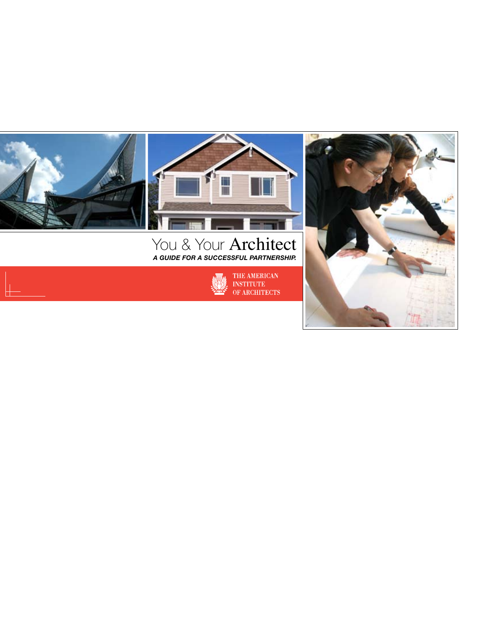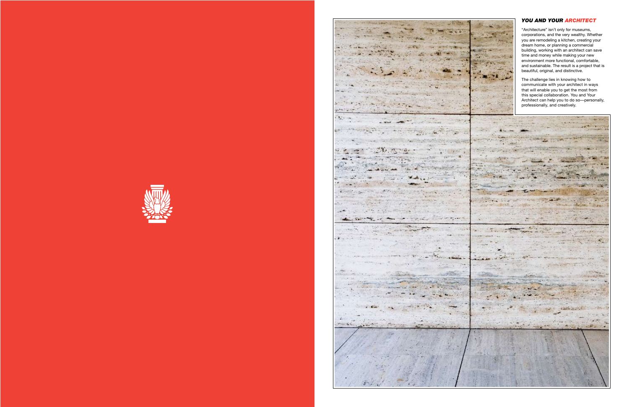

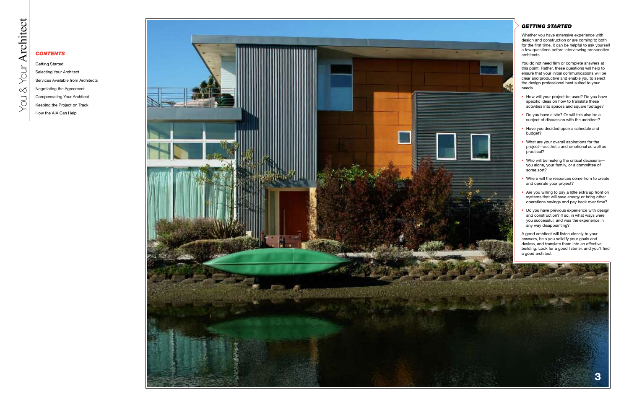

- 
- 
- 
- 
- 
- 
- 
- 

# *Contents*

Getting Started Selecting Your Architect Services Available from Architects Negotiating the Agreement Compensating Your Architect Keeping the Project on Track How the AIA Can Help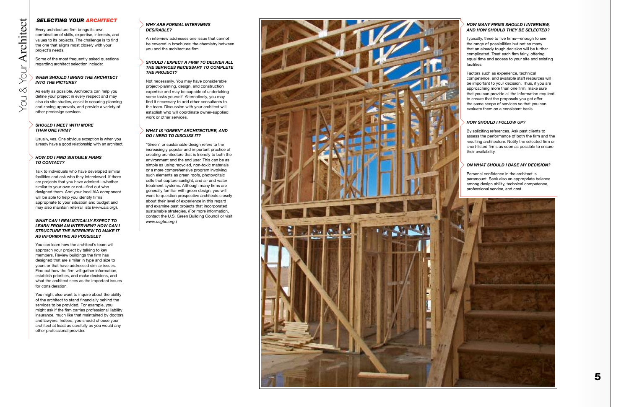

# *Selecting Your Architect*

Every architecture firm brings its own combination of skills, expertise, interests, and values to its projects. The challenge is to find the one that aligns most closely with your project's needs.

Some of the most frequently asked questions regarding architect selection include:

#### *When should I bring the architect into the picture ?*

As early as possible. Architects can help you define your project in every respect and may also do site studies, assist in securing planning and zoning approvals, and provide a variety of other predesign services.

#### *Should I meet with more than one firm?*

Usually, yes. One obvious exception is when you already have a good relationship with an architect.

#### *How do I find suitable firms to contact ?*

Talk to individuals who have developed similar facilities and ask who they interviewed. If there are projects that you have admired—whether similar to your own or not—find out who designed them. And your local AIA component will be able to help you identify firms appropriate to your situation and budget and may also maintain referral lists (*www.aia.org*).

#### *What can I realistically expect to learn from an inter view? H ow can I structure the interview to make as infor mati ve as possible ?*

You can learn how the architect's team will approach your project by talking to key members. Review buildings the firm has designed that are similar in type and size to yours or that have addressed similar issues. Find out how the firm will gather information, establish priorities, and make decisions, and what the architect sees as the important issues for consideration.

You might also want to inquire about the ability of the architect to stand financially behind the services to be provided. For example, you might ask if the firm carries professional liability insurance, much like that maintained by doctors and lawyers. Indeed, you should choose your architect at least as carefully as you would any other professional provider.

#### *Why are for mal inter vie ws desira ble ?*

An interview addresses one issue that cannot be covered in brochures: the chemistry between you and the architecture firm.

#### *Should I expect a firm to deli ver all the ser vices necessary to co mplete the pro ject ?*

Not necessarily. You may have considerable project-planning, design, and construction expertise and may be capable of undertaking some tasks yourself. Alternatively, you may find it necessary to add other consultants to the team. Discussion with your architect will establish who will coordinate owner-supplied work or other services.

#### *What is "green" architecture, and do I need to discuss it ?*

"Green" or sustainable design refers to the increasingly popular and important practice of creating architecture that is friendly to both the environment and the end user. This can be as simple as using recycled, non-toxic materials or a more comprehensive program involving such elements as green roofs, photovoltaic cells that capture sunlight, and air and water treatment systems. Although many firms are generally familiar with green design, you will want to question prospective architects closely about their level of experience in this regard and examine past projects that incorporated sustainable strategies. (For more information, contact the U.S. Green Building Council or visit *www.usgbc.org*.)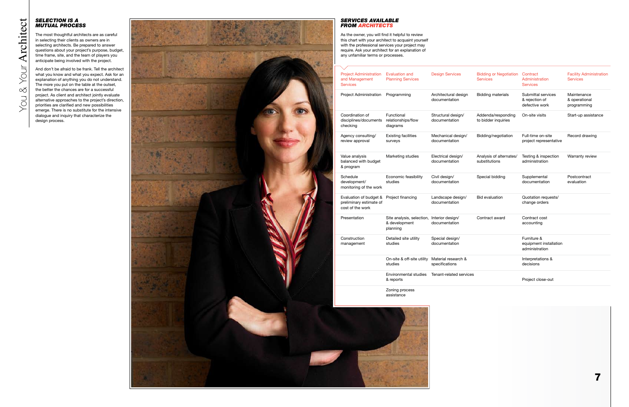## *Selection Is a Mutual P*

The most thoughtful architects are as careful in selecting their clients as owners are in selecting architects. Be prepared to answer questions about your project's purpose, budget, time frame, site, and the team of players you anticipate being involved with the project.

And don't be afraid to be frank. Tell the architect what you know and what you expect. Ask for an explanation of anything you do not understand. The more you put on the table at the outset, the better the chances are for a successful project. As client and architect jointly evaluate alternative approaches to the project's direction, priorities are clarified and new possibilities emerge. There is no substitute for the intensive dialogue and inquiry that characterize the design process.

| <b>Project Administration</b><br>and Management<br>Services           | <b>Evaluation and</b><br><b>Planning Services</b>                       | <b>Design Services</b>                | <b>Bidding or Negotiation</b><br><b>Services</b> | Contract<br>Administration<br>Services                  | <b>Facility Administration</b><br>Services  |
|-----------------------------------------------------------------------|-------------------------------------------------------------------------|---------------------------------------|--------------------------------------------------|---------------------------------------------------------|---------------------------------------------|
| Project Administration                                                | Programming                                                             | Architectural design<br>documentation | <b>Bidding materials</b>                         | Submittal services<br>& rejection of<br>defective work  | Maintenance<br>& operational<br>programming |
| Coordination of<br>disciplines/documents<br>checking                  | Functional<br>relationships/flow<br>diagrams                            | Structural design/<br>documentation   | Addenda/responding<br>to bidder inquiries        | On-site visits                                          | Start-up assistance                         |
| Agency consulting/<br>review approval                                 | <b>Existing facilities</b><br>surveys                                   | Mechanical design/<br>documentation   | Bidding/negotiation                              | Full-time on-site<br>project representative             | Record drawing                              |
| Value analysis<br>balanced with budget<br>& program                   | Marketing studies                                                       | Electrical design/<br>documentation   | Analysis of alternates/<br>substitutions         | Testing & inspection<br>administration                  | Warranty review                             |
| Schedule<br>development/<br>monitoring of the work                    | Economic feasibility<br>studies                                         | Civil design/<br>documentation        | Special bidding                                  | Supplemental<br>documentation                           | Postcontract<br>evaluation                  |
| Evaluation of budget &<br>preliminary estimate of<br>cost of the work | Project financing                                                       | Landscape design/<br>documentation    | <b>Bid evaluation</b>                            | Quotation requests/<br>change orders                    |                                             |
| Presentation                                                          | Site analysis, selection, Interior design/<br>& development<br>planning | documentation                         | Contract award                                   | Contract cost<br>accounting                             |                                             |
| Construction<br>management                                            | Detailed site utility<br>studies                                        | Special design/<br>documentation      |                                                  | Furniture &<br>equipment installation<br>administration |                                             |
|                                                                       | On-site & off-site utility<br>studies                                   | Material research &<br>specifications |                                                  | Interpretations &<br>decisions                          |                                             |
|                                                                       | Environmental studies<br>& reports                                      | Tenant-related services               |                                                  | Project close-out                                       |                                             |
|                                                                       | Zoning process<br>assistance                                            |                                       |                                                  |                                                         |                                             |



# *Services Available*

As the owner, you will find it helpful to review this chart with your architect to acquaint yourself with the professional services your project may require. Ask your architect for an explanation of any unfamiliar terms or processes.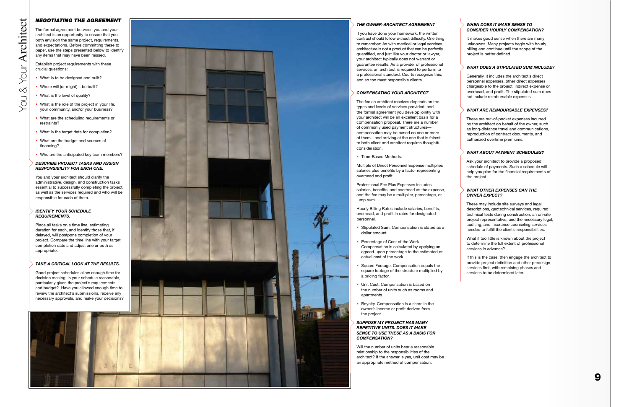#### *The Owner-Architect Agreement*

If you have done your homework, the written contract should follow without difficulty. One thing to remember: As with medical or legal services, architecture is not a product that can be perfectly quantified, and just like your doctor or lawyer, your architect typically does not warrant or guarantee results. As a provider of professional services, an architect is required to perform to a professional standard. Courts recognize this, and so too must responsible clients.

## *Compensating Your Architect*

The fee an architect receives depends on the types and levels of services provided, and the formal agreement you develop jointly with your architect will be an excellent basis for a compensation proposal. There are a number of commonly used payment structures compensation may be based on one or more of them—and arriving at the one that is fairest to both client and architect requires thoughtful consideration. • Time-Based Methods.

Multiple of Direct Personnel Expense multiplies salaries plus benefits by a factor representing overhead and profit.

Professional Fee Plus Expenses includes salaries, benefits, and overhead as the expense, and the fee may be a multiplier, percentage, or lump sum.

Hourly Billing Rates include salaries, benefits, overhead, and profit in rates for designated personnel.

- Stipulated Sum. Compensation is stated as a dollar amount.
- Percentage of Cost of the Work Compensation is calculated by applying an agreed-upon percentage to the estimated or actual cost of the work.
- Square Footage. Compensation equals the square footage of the structure multiplied by a pricing factor.
- Unit Cost. Compensation is based on the number of units such as rooms and apartments.
- Royalty. Compensation is a share in the owner's income or profit derived from the project.

#### *Suppose my pro ject has many repetiti ve units. Does it ma ke sense to use these as a basis for co mpensation ?*

Will the number of units bear a reasonable relationship to the responsibilities of the architect? If the answer is yes, unit cost may be an appropriate method of compensation.

# Architect You & Your **Architect** YOU & YOUT

## *Negotiating the Agreement*

The formal agreement between you and your architect is an opportunity to ensure that you both envision the same project, requirements, and expectations. Before committing these to paper, use the steps presented below to identify any items that may have been missed.

Establish project requirements with these crucial questions:

- What is to be designed and built?
- Where will (or might) it be built?<br>• What is the level of quality?
- 
- What is the role of the project in your life, your community, and/or your business?
- What are the scheduling requirements or restraints?
- What is the target date for completion?
- What are the budget and sources of financing?
- Who are the anticipated key team members?

#### *Describe project tasks and assign responsibility for each one.*

You and your architect should clarify the administrative, design, and construction tasks essential to successfully completing the project, as well as the services required and who will be responsible for each of them.

#### *Identify your schedule re quirements .*

Place all tasks on a time line, estimating duration for each, and identify those that, if delayed, will postpone completion of your project. Compare the time line with your target completion date and adjust one or both as appropriate.

## *Take a critical look at the results .*

Good project schedules allow enough time for decision making. Is your schedule reasonable, particularly given the project's requirements and budget? Have you allowed enough time to review the architect's submissions, receive any necessary approvals, and make your decisions?



#### *When does it ma ke sense to consider hourly co mpensation ?*

It makes good sense when there are many unknowns. Many projects begin with hourly billing and continue until the scope of the project is better defined.

## *What does a stipulated sum include ?*

Generally, it includes the architect's direct personnel expenses, other direct expenses chargeable to the project, indirect expense or overhead, and profit. The stipulated sum does not include reimbursable expenses.

## *What are reimbursa ble expenses ?*

These are out-of-pocket expenses incurred by the architect on behalf of the owner, such as long-distance travel and communications, reproduction of contract documents, and authorized overtime premiums.

#### *What bout payment schedules ? a*

Ask your architect to provide a proposed schedule of payments. Such a schedule will help you plan for the financial requirements of the project.

#### *What other expenses can the o wner expect ?*

These may include site surveys and legal descriptions, geotechnical services, required technical tests during construction, an on-site project representative, and the necessary legal, auditing, and insurance counseling services needed to fulfill the client's responsibilities.

What if too little is known about the project to determine the full extent of professional services in advance?

If this is the case, then engage the architect to provide project definition and other predesign services first, with remaining phases and services to be determined later.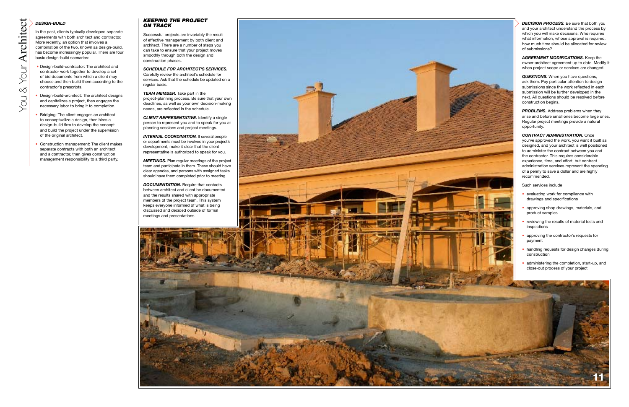## *Keeping the Pro ject on Track*

Successful projects are invariably the result of effective management by both client and architect. There are a number of steps you can take to ensure that your project moves smoothly through both the design and construction phases.

*Schedule for Architect 's Ser vices .* Carefully review the architect's schedule for services. Ask that the schedule be updated on a regular basis.

**INTERNAL COORDINATION.** If several people or departments must be involved in your project's development, make it clear that the client representative is authorized to speak for you.

*Team Member .* Take part in the project-planning process. Be sure that your own deadlines, as well as your own decision-making needs, are reflected in the schedule.

*Client Representative.* Identify a single person to represent you and to speak for you at planning sessions and project meetings.

**DOCUMENTATION.** Require that contacts between architect and client be documented and the results shared with appropriate members of the project team. This system keeps everyone informed of what is being discussed and decided outside of formal meetings and presentations.



*Meetings .* Plan regular meetings of the project team and participate in them. These should have clear agendas, and persons with assigned tasks should have them completed prior to meeting.

**DECISION PROCESS.** Be sure that both you and your architect understand the process by which you will make decisions: Who requires what information, whose approval is required, how much time should be allocated for review of submissions?

# *Design -Build*

In the past, clients typically developed separate agreements with both architect and contractor. More recently, an option that involves a combination of the two, known as design-build, has become increasingly popular. There are four basic design-build scenarios:

> **PROBLEMS.** Address problems when they arise and before small ones become large ones. Regular project meetings provide a natural opportunity.

- Design-build-contractor: The architect and contractor work together to develop a set of bid documents from which a client may choose and then build them according to the contractor's prescripts.
- Design-build-architect: The architect designs and capitalizes a project, then engages the necessary labor to bring it to completion.
- Bridging: The client engages an architect to conceptualize a design, then hires a design-build firm to develop the concept and build the project under the supervision of the original architect.
- Construction management: The client makes separate contracts with both an architect and a contractor, then gives construction management responsibility to a third party.

*Agreement Modifications .* Keep the owner-architect agreement up to date. Modify it when project scope or services are changed.

*Questions .* When you have questions, ask them. Pay particular attention to design submissions since the work reflected in each submission will be further developed in the next. All questions should be resolved before construction begins.

*Contract A ministration.* Once *d* you've approved the work, you want it built as designed, and your architect is well positioned to administer the contract between you and the contractor. This requires considerable experience, time, and effort, but contract administration services represent the spending of a penny to save a dollar and are highly recommended.

Such services include

- evaluating work for compliance with drawings and specifications
- approving shop drawings, materials, and product samples
- reviewing the results of material tests and inspections
- approving the contractor's requests for payment
- handling requests for design changes during construction
- administering the completion, start-up, and close-out process of your project

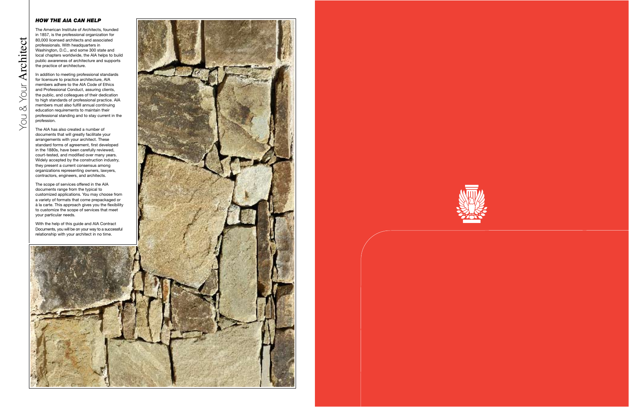## *How the AIA Can Help*

You & Your **Architect** 

You &

Your Architect

The American Institute of Architects, founded in 1857, is the professional organization for 80,000 licensed architects and associated professionals. With headquarters in Washington, D.C., and some 300 state and local chapters worldwide, the AIA helps to build public awareness of architecture and supports the practice of architecture.

In addition to meeting professional standards for licensure to practice architecture, AIA members adhere to the AIA Code of Ethics and Professional Conduct, assuring clients, the public, and colleagues of their dedication to high standards of professional practice. AIA members must also fulfill annual continuing education requirements to maintain their professional standing and to stay current in the profession.

The AIA has also created a number of documents that will greatly facilitate your arrangements with your architect. These standard forms of agreement, first developed in the 1880s, have been carefully reviewed, court-tested, and modified over many years. Widely accepted by the construction industry, they present a current consensus among organizations representing owners, lawyers, contractors, engineers, and architects.

The scope of services offered in the AIA documents range from the typical to customized applications. You may choose from a variety of formats that come prepackaged or à la carte. This approach gives you the flexibility to customize the scope of services that meet your particular needs.

With the help of this guide and AIA Contract Documents, you will be on your way to a successful relationship with your architect in no time.